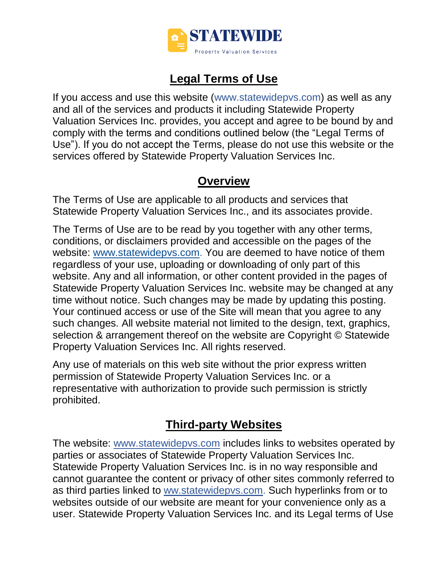

## **Legal Terms of Use**

If you access and use this website (www.statewidepvs.com) as well as any and all of the services and products it including Statewide Property Valuation Services Inc. provides, you accept and agree to be bound by and comply with the terms and conditions outlined below (the "Legal Terms of Use"). If you do not accept the Terms, please do not use this website or the services offered by Statewide Property Valuation Services Inc.

#### **Overview**

The Terms of Use are applicable to all products and services that Statewide Property Valuation Services Inc., and its associates provide.

The Terms of Use are to be read by you together with any other terms, conditions, or disclaimers provided and accessible on the pages of the website: [www.statewidepvs.com.](http://www.statewidepvs.com/) You are deemed to have notice of them regardless of your use, uploading or downloading of only part of this website. Any and all information, or other content provided in the pages of Statewide Property Valuation Services Inc. website may be changed at any time without notice. Such changes may be made by updating this posting. Your continued access or use of the Site will mean that you agree to any such changes. All website material not limited to the design, text, graphics, selection & arrangement thereof on the website are Copyright © Statewide Property Valuation Services Inc. All rights reserved.

Any use of materials on this web site without the prior express written permission of Statewide Property Valuation Services Inc. or a representative with authorization to provide such permission is strictly prohibited.

## **Third-party Websites**

The website: [www.statewidepvs.com](http://www.statewidepvs.com/) includes links to websites operated by parties or associates of Statewide Property Valuation Services Inc. Statewide Property Valuation Services Inc. is in no way responsible and cannot guarantee the content or privacy of other sites commonly referred to as third parties linked to ww.statewidepvs.com. Such hyperlinks from or to websites outside of our website are meant for your convenience only as a user. Statewide Property Valuation Services Inc. and its Legal terms of Use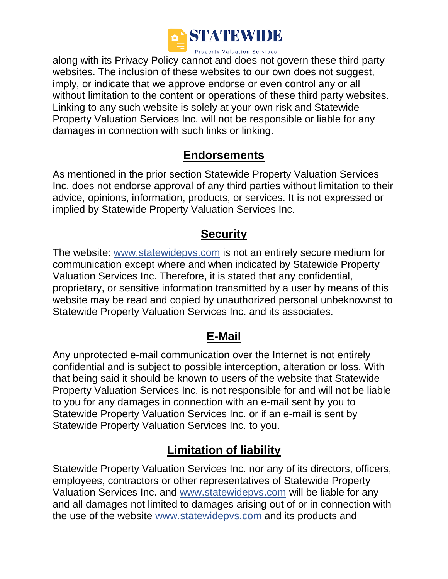

along with its Privacy Policy cannot and does not govern these third party websites. The inclusion of these websites to our own does not suggest, imply, or indicate that we approve endorse or even control any or all without limitation to the content or operations of these third party websites. Linking to any such website is solely at your own risk and Statewide Property Valuation Services Inc. will not be responsible or liable for any damages in connection with such links or linking.

#### **Endorsements**

As mentioned in the prior section Statewide Property Valuation Services Inc. does not endorse approval of any third parties without limitation to their advice, opinions, information, products, or services. It is not expressed or implied by Statewide Property Valuation Services Inc.

#### **Security**

The website: [www.statewidepvs.com](http://www.statewidepvs.com/) is not an entirely secure medium for communication except where and when indicated by Statewide Property Valuation Services Inc. Therefore, it is stated that any confidential, proprietary, or sensitive information transmitted by a user by means of this website may be read and copied by unauthorized personal unbeknownst to Statewide Property Valuation Services Inc. and its associates.

#### **E-Mail**

Any unprotected e-mail communication over the Internet is not entirely confidential and is subject to possible interception, alteration or loss. With that being said it should be known to users of the website that Statewide Property Valuation Services Inc. is not responsible for and will not be liable to you for any damages in connection with an e-mail sent by you to Statewide Property Valuation Services Inc. or if an e-mail is sent by Statewide Property Valuation Services Inc. to you.

# **Limitation of liability**

Statewide Property Valuation Services Inc. nor any of its directors, officers, employees, contractors or other representatives of Statewide Property Valuation Services Inc. and [www.statewidepvs.com](http://www.statewidepvs.com/) will be liable for any and all damages not limited to damages arising out of or in connection with the use of the website [www.statewidepvs.com](http://www.statewidepvs.com/) and its products and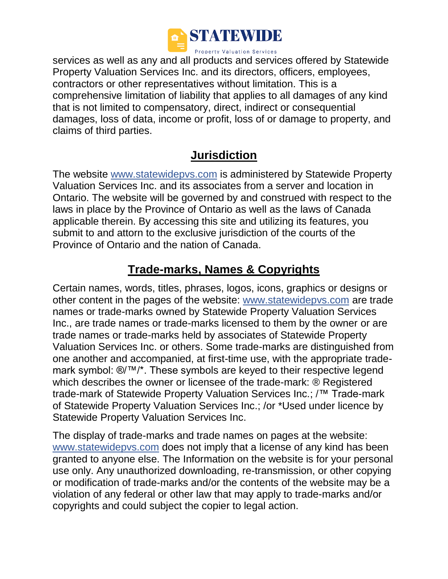

services as well as any and all products and services offered by Statewide Property Valuation Services Inc. and its directors, officers, employees, contractors or other representatives without limitation. This is a comprehensive limitation of liability that applies to all damages of any kind that is not limited to compensatory, direct, indirect or consequential damages, loss of data, income or profit, loss of or damage to property, and claims of third parties.

#### **Jurisdiction**

The website [www.statewidepvs.com](http://www.statewidepvs.com/) is administered by Statewide Property Valuation Services Inc. and its associates from a server and location in Ontario. The website will be governed by and construed with respect to the laws in place by the Province of Ontario as well as the laws of Canada applicable therein. By accessing this site and utilizing its features, you submit to and attorn to the exclusive jurisdiction of the courts of the Province of Ontario and the nation of Canada.

#### **Trade-marks, Names & Copyrights**

Certain names, words, titles, phrases, logos, icons, graphics or designs or other content in the pages of the website: [www.statewidepvs.com](http://www.statewidepvs.com/) are trade names or trade-marks owned by Statewide Property Valuation Services Inc., are trade names or trade-marks licensed to them by the owner or are trade names or trade-marks held by associates of Statewide Property Valuation Services Inc. or others. Some trade-marks are distinguished from one another and accompanied, at first-time use, with the appropriate trademark symbol: ®/™/\*. These symbols are keyed to their respective legend which describes the owner or licensee of the trade-mark: ® Registered trade-mark of Statewide Property Valuation Services Inc.; /™ Trade-mark of Statewide Property Valuation Services Inc.; /or \*Used under licence by Statewide Property Valuation Services Inc.

The display of trade-marks and trade names on pages at the website: [www.statewidepvs.com](http://www.statewidepvs.com/) does not imply that a license of any kind has been granted to anyone else. The Information on the website is for your personal use only. Any unauthorized downloading, re-transmission, or other copying or modification of trade-marks and/or the contents of the website may be a violation of any federal or other law that may apply to trade-marks and/or copyrights and could subject the copier to legal action.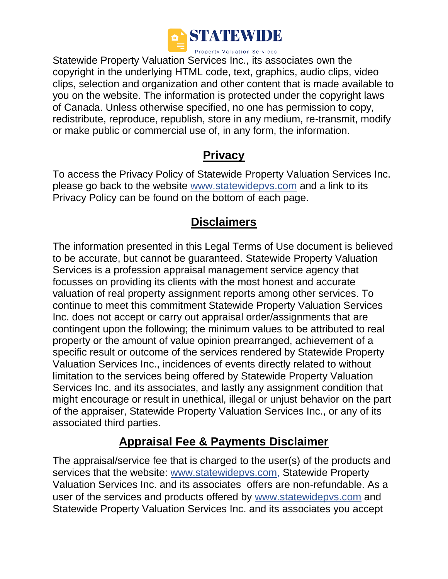

Statewide Property Valuation Services Inc., its associates own the copyright in the underlying HTML code, text, graphics, audio clips, video clips, selection and organization and other content that is made available to you on the website. The information is protected under the copyright laws of Canada. Unless otherwise specified, no one has permission to copy, redistribute, reproduce, republish, store in any medium, re-transmit, modify or make public or commercial use of, in any form, the information.

#### **Privacy**

To access the Privacy Policy of Statewide Property Valuation Services Inc. please go back to the website [www.statewidepvs.com](http://www.statewidepvs.com/) and a link to its Privacy Policy can be found on the bottom of each page.

## **Disclaimers**

The information presented in this Legal Terms of Use document is believed to be accurate, but cannot be guaranteed. Statewide Property Valuation Services is a profession appraisal management service agency that focusses on providing its clients with the most honest and accurate valuation of real property assignment reports among other services. To continue to meet this commitment Statewide Property Valuation Services Inc. does not accept or carry out appraisal order/assignments that are contingent upon the following; the minimum values to be attributed to real property or the amount of value opinion prearranged, achievement of a specific result or outcome of the services rendered by Statewide Property Valuation Services Inc., incidences of events directly related to without limitation to the services being offered by Statewide Property Valuation Services Inc. and its associates, and lastly any assignment condition that might encourage or result in unethical, illegal or unjust behavior on the part of the appraiser, Statewide Property Valuation Services Inc., or any of its associated third parties.

#### **Appraisal Fee & Payments Disclaimer**

The appraisal/service fee that is charged to the user(s) of the products and services that the website: [www.statewidepvs.com,](http://www.statewidepvs.com/) Statewide Property Valuation Services Inc. and its associates offers are non-refundable. As a user of the services and products offered by [www.statewidepvs.com](http://www.statewidepvs.com/) and Statewide Property Valuation Services Inc. and its associates you accept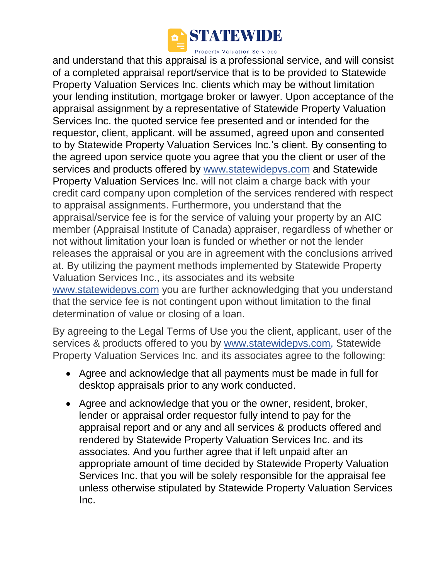

and understand that this appraisal is a professional service, and will consist of a completed appraisal report/service that is to be provided to Statewide Property Valuation Services Inc. clients which may be without limitation your lending institution, mortgage broker or lawyer. Upon acceptance of the appraisal assignment by a representative of Statewide Property Valuation Services Inc. the quoted service fee presented and or intended for the requestor, client, applicant. will be assumed, agreed upon and consented to by Statewide Property Valuation Services Inc.'s client. By consenting to the agreed upon service quote you agree that you the client or user of the services and products offered by [www.statewidepvs.com](http://www.statewidepvs.com/) and Statewide Property Valuation Services Inc. will not claim a charge back with your credit card company upon completion of the services rendered with respect to appraisal assignments. Furthermore, you understand that the appraisal/service fee is for the service of valuing your property by an AIC member (Appraisal Institute of Canada) appraiser, regardless of whether or not without limitation your loan is funded or whether or not the lender releases the appraisal or you are in agreement with the conclusions arrived at. By utilizing the payment methods implemented by Statewide Property Valuation Services Inc., its associates and its website [www.statewidepvs.com](http://www.statewidepvs.com/) you are further acknowledging that you understand that the service fee is not contingent upon without limitation to the final determination of value or closing of a loan.

By agreeing to the Legal Terms of Use you the client, applicant, user of the services & products offered to you by [www.statewidepvs.com,](http://www.statewidepvs.com/) Statewide Property Valuation Services Inc. and its associates agree to the following:

- Agree and acknowledge that all payments must be made in full for desktop appraisals prior to any work conducted.
- Agree and acknowledge that you or the owner, resident, broker, lender or appraisal order requestor fully intend to pay for the appraisal report and or any and all services & products offered and rendered by Statewide Property Valuation Services Inc. and its associates. And you further agree that if left unpaid after an appropriate amount of time decided by Statewide Property Valuation Services Inc. that you will be solely responsible for the appraisal fee unless otherwise stipulated by Statewide Property Valuation Services Inc.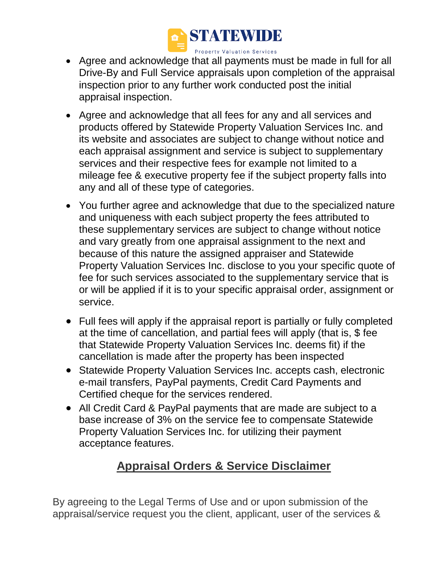

- Agree and acknowledge that all payments must be made in full for all Drive-By and Full Service appraisals upon completion of the appraisal inspection prior to any further work conducted post the initial appraisal inspection.
- Agree and acknowledge that all fees for any and all services and products offered by Statewide Property Valuation Services Inc. and its website and associates are subject to change without notice and each appraisal assignment and service is subject to supplementary services and their respective fees for example not limited to a mileage fee & executive property fee if the subject property falls into any and all of these type of categories.
- You further agree and acknowledge that due to the specialized nature and uniqueness with each subject property the fees attributed to these supplementary services are subject to change without notice and vary greatly from one appraisal assignment to the next and because of this nature the assigned appraiser and Statewide Property Valuation Services Inc. disclose to you your specific quote of fee for such services associated to the supplementary service that is or will be applied if it is to your specific appraisal order, assignment or service.
- Full fees will apply if the appraisal report is partially or fully completed at the time of cancellation, and partial fees will apply (that is, \$ fee that Statewide Property Valuation Services Inc. deems fit) if the cancellation is made after the property has been inspected
- Statewide Property Valuation Services Inc. accepts cash, electronic e-mail transfers, PayPal payments, Credit Card Payments and Certified cheque for the services rendered.
- All Credit Card & PayPal payments that are made are subject to a base increase of 3% on the service fee to compensate Statewide Property Valuation Services Inc. for utilizing their payment acceptance features.

# **Appraisal Orders & Service Disclaimer**

By agreeing to the Legal Terms of Use and or upon submission of the appraisal/service request you the client, applicant, user of the services &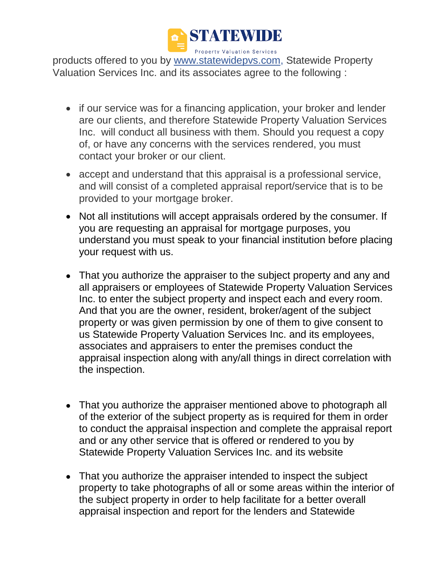

products offered to you by [www.statewidepvs.com,](http://www.statewidepvs.com/) Statewide Property Valuation Services Inc. and its associates agree to the following :

- if our service was for a financing application, your broker and lender are our clients, and therefore Statewide Property Valuation Services Inc. will conduct all business with them. Should you request a copy of, or have any concerns with the services rendered, you must contact your broker or our client.
- accept and understand that this appraisal is a professional service, and will consist of a completed appraisal report/service that is to be provided to your mortgage broker.
- Not all institutions will accept appraisals ordered by the consumer. If you are requesting an appraisal for mortgage purposes, you understand you must speak to your financial institution before placing your request with us.
- That you authorize the appraiser to the subject property and any and all appraisers or employees of Statewide Property Valuation Services Inc. to enter the subject property and inspect each and every room. And that you are the owner, resident, broker/agent of the subject property or was given permission by one of them to give consent to us Statewide Property Valuation Services Inc. and its employees, associates and appraisers to enter the premises conduct the appraisal inspection along with any/all things in direct correlation with the inspection.
- That you authorize the appraiser mentioned above to photograph all of the exterior of the subject property as is required for them in order to conduct the appraisal inspection and complete the appraisal report and or any other service that is offered or rendered to you by Statewide Property Valuation Services Inc. and its website
- That you authorize the appraiser intended to inspect the subject property to take photographs of all or some areas within the interior of the subject property in order to help facilitate for a better overall appraisal inspection and report for the lenders and Statewide